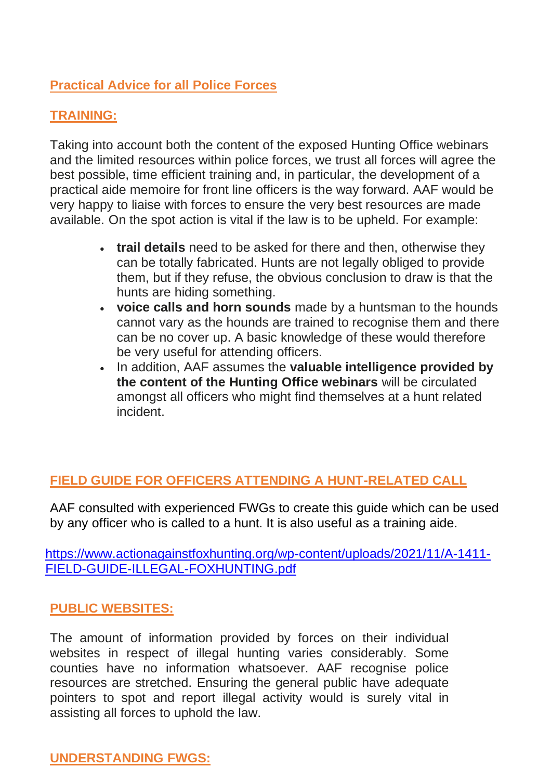# **Practical Advice for all Police Forces**

#### **TRAINING:**

Taking into account both the content of the exposed Hunting Office webinars and the limited resources within police forces, we trust all forces will agree the best possible, time efficient training and, in particular, the development of a practical aide memoire for front line officers is the way forward. AAF would be very happy to liaise with forces to ensure the very best resources are made available. On the spot action is vital if the law is to be upheld. For example:

- **trail details** need to be asked for there and then, otherwise they can be totally fabricated. Hunts are not legally obliged to provide them, but if they refuse, the obvious conclusion to draw is that the hunts are hiding something.
- **voice calls and horn sounds** made by a huntsman to the hounds cannot vary as the hounds are trained to recognise them and there can be no cover up. A basic knowledge of these would therefore be very useful for attending officers.
- In addition, AAF assumes the **valuable intelligence provided by the content of the Hunting Office webinars** will be circulated amongst all officers who might find themselves at a hunt related incident.

## **FIELD GUIDE FOR OFFICERS ATTENDING A HUNT-RELATED CALL**

AAF consulted with experienced FWGs to create this guide which can be used by any officer who is called to a hunt. It is also useful as a training aide.

[https://www.actionagainstfoxhunting.org/wp-content/uploads/2021/11/A-1411-](https://www.actionagainstfoxhunting.org/wp-content/uploads/2021/11/A-1411-FIELD-GUIDE-ILLEGAL-FOXHUNTING.pdf) [FIELD-GUIDE-ILLEGAL-FOXHUNTING.pdf](https://www.actionagainstfoxhunting.org/wp-content/uploads/2021/11/A-1411-FIELD-GUIDE-ILLEGAL-FOXHUNTING.pdf)

#### **PUBLIC WEBSITES:**

The amount of information provided by forces on their individual websites in respect of illegal hunting varies considerably. Some counties have no information whatsoever. AAF recognise police resources are stretched. Ensuring the general public have adequate pointers to spot and report illegal activity would is surely vital in assisting all forces to uphold the law.

## **UNDERSTANDING FWGS:**